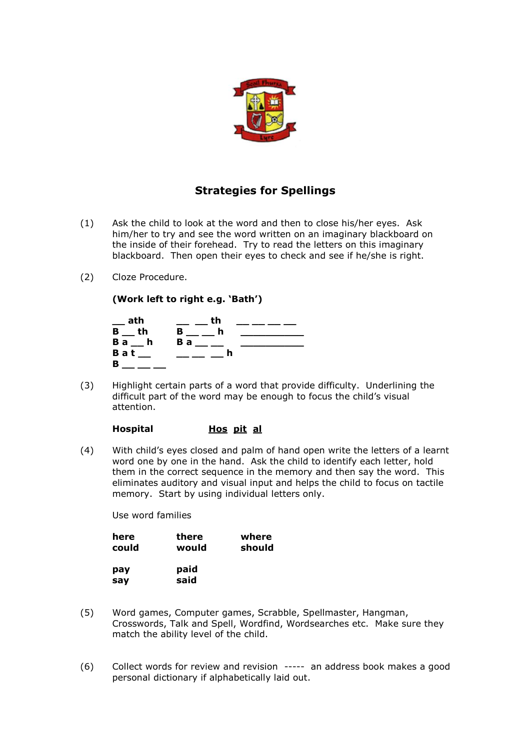

## **Strategies for Spellings**

- (1) Ask the child to look at the word and then to close his/her eyes. Ask him/her to try and see the word written on an imaginary blackboard on the inside of their forehead. Try to read the letters on this imaginary blackboard. Then open their eyes to check and see if he/she is right.
- (2) Cloze Procedure.

**(Work left to right e.g. 'Bath')**



(3) Highlight certain parts of a word that provide difficulty. Underlining the difficult part of the word may be enough to focus the child's visual attention.

## **Hospital Hos pit al**

(4) With child's eyes closed and palm of hand open write the letters of a learnt word one by one in the hand. Ask the child to identify each letter, hold them in the correct sequence in the memory and then say the word. This eliminates auditory and visual input and helps the child to focus on tactile memory. Start by using individual letters only.

Use word families

| here       | there        | where  |
|------------|--------------|--------|
| could      | would        | should |
| pay<br>say | paid<br>said |        |

- (5) Word games, Computer games, Scrabble, Spellmaster, Hangman, Crosswords, Talk and Spell, Wordfind, Wordsearches etc. Make sure they match the ability level of the child.
- (6) Collect words for review and revision ----- an address book makes a good personal dictionary if alphabetically laid out.